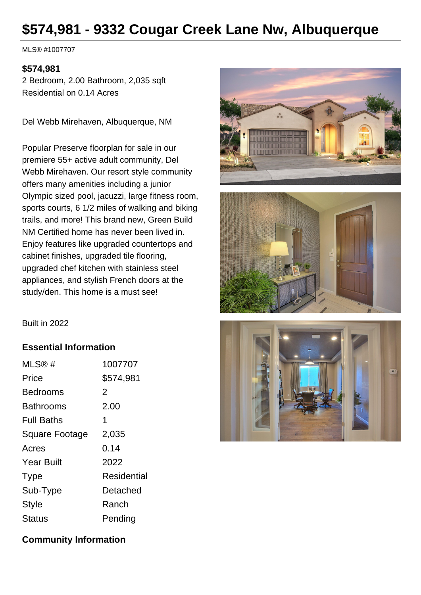# **\$574,981 - 9332 Cougar Creek Lane Nw, Albuquerque**

MLS® #1007707

#### **\$574,981**

2 Bedroom, 2.00 Bathroom, 2,035 sqft Residential on 0.14 Acres

Del Webb Mirehaven, Albuquerque, NM

Popular Preserve floorplan for sale in our premiere 55+ active adult community, Del Webb Mirehaven. Our resort style community offers many amenities including a junior Olympic sized pool, jacuzzi, large fitness room, sports courts, 6 1/2 miles of walking and biking trails, and more! This brand new, Green Build NM Certified home has never been lived in. Enjoy features like upgraded countertops and cabinet finishes, upgraded tile flooring, upgraded chef kitchen with stainless steel appliances, and stylish French doors at the study/den. This home is a must see!





Built in 2022

#### **Essential Information**

| MLS@#                 | 1007707     |
|-----------------------|-------------|
| Price                 | \$574,981   |
| <b>Bedrooms</b>       | 2           |
| <b>Bathrooms</b>      | 2.00        |
| <b>Full Baths</b>     | 1           |
| <b>Square Footage</b> | 2,035       |
| Acres                 | 0.14        |
| <b>Year Built</b>     | 2022        |
| <b>Type</b>           | Residential |
| Sub-Type              | Detached    |
| <b>Style</b>          | Ranch       |
| Status                | Pending     |



#### **Community Information**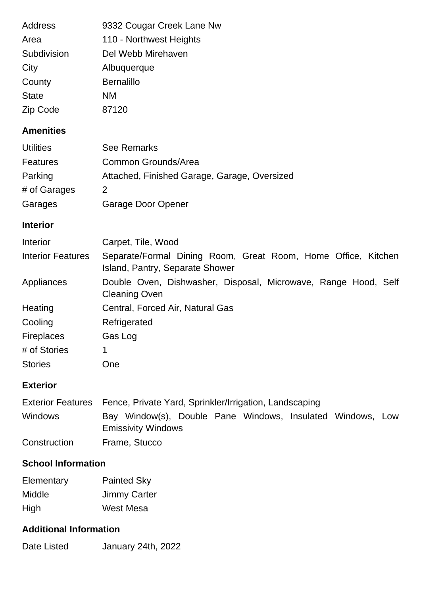| <b>Address</b> | 9332 Cougar Creek Lane Nw |
|----------------|---------------------------|
| Area           | 110 - Northwest Heights   |
| Subdivision    | Del Webb Mirehaven        |
| City           | Albuquerque               |
| County         | <b>Bernalillo</b>         |
| <b>State</b>   | <b>NM</b>                 |
| Zip Code       | 87120                     |

## **Amenities**

| <b>Utilities</b> | <b>See Remarks</b>                           |
|------------------|----------------------------------------------|
| Features         | Common Grounds/Area                          |
| Parking          | Attached, Finished Garage, Garage, Oversized |
| # of Garages     | $\mathcal{P}$                                |
| Garages          | Garage Door Opener                           |

## **Interior**

| Interior                 | Carpet, Tile, Wood                                                                               |  |  |
|--------------------------|--------------------------------------------------------------------------------------------------|--|--|
| <b>Interior Features</b> | Separate/Formal Dining Room, Great Room, Home Office, Kitchen<br>Island, Pantry, Separate Shower |  |  |
| Appliances               | Double Oven, Dishwasher, Disposal, Microwave, Range Hood, Self<br><b>Cleaning Oven</b>           |  |  |
| Heating                  | Central, Forced Air, Natural Gas                                                                 |  |  |
| Cooling                  | Refrigerated                                                                                     |  |  |
| <b>Fireplaces</b>        | Gas Log                                                                                          |  |  |
| # of Stories             | 1                                                                                                |  |  |
| <b>Stories</b>           | <b>One</b>                                                                                       |  |  |

## **Exterior**

|                | Exterior Features Fence, Private Yard, Sprinkler/Irrigation, Landscaping                |  |  |
|----------------|-----------------------------------------------------------------------------------------|--|--|
| <b>Windows</b> | Bay Window(s), Double Pane Windows, Insulated Windows, Low<br><b>Emissivity Windows</b> |  |  |
| Construction   | Frame, Stucco                                                                           |  |  |

# **School Information**

| Elementary    | <b>Painted Sky</b>  |
|---------------|---------------------|
| <b>Middle</b> | <b>Jimmy Carter</b> |
| High          | West Mesa           |

## **Additional Information**

Date Listed January 24th, 2022